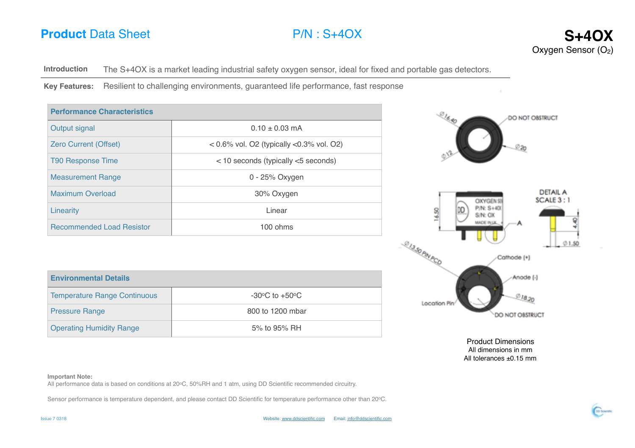# **Product** Data Sheet **P/N** : S+4OX **S+4OX**



**Introduction** The S+4OX is a market leading industrial safety oxygen sensor, ideal for fixed and portable gas detectors.

**Key Features:** Resilient to challenging environments, guaranteed life performance, fast response

| <b>Performance Characteristics</b> |                                             |  |  |  |
|------------------------------------|---------------------------------------------|--|--|--|
| Output signal                      | $0.10 + 0.03$ mA                            |  |  |  |
| <b>Zero Current (Offset)</b>       | $0.6\%$ vol. O2 (typically $0.3\%$ vol. O2) |  |  |  |
| <b>T90 Response Time</b>           | $<$ 10 seconds (typically $<$ 5 seconds)    |  |  |  |
| <b>Measurement Range</b>           | 0 - 25% Oxygen                              |  |  |  |
| Maximum Overload                   | 30% Oxygen                                  |  |  |  |
| Linearity                          | Linear                                      |  |  |  |
| <b>Recommended Load Resistor</b>   | $100 \text{ ohms}$                          |  |  |  |

| <b>Environmental Details</b>        |                                    |  |  |
|-------------------------------------|------------------------------------|--|--|
| <b>Temperature Range Continuous</b> | $-30^{\circ}$ C to $+50^{\circ}$ C |  |  |
| <b>Pressure Range</b>               | 800 to 1200 mbar                   |  |  |
| <b>Operating Humidity Range</b>     | 5% to 95% RH                       |  |  |



Product Dimensions All dimensions in mm All tolerances  $\pm 0.15$  mm

### **Important Note:**

All performance data is based on conditions at 20°C, 50%RH and 1 atm, using DD Scientific recommended circuitry.

Sensor performance is temperature dependent, and please contact DD Scientific for temperature performance other than 20°C.